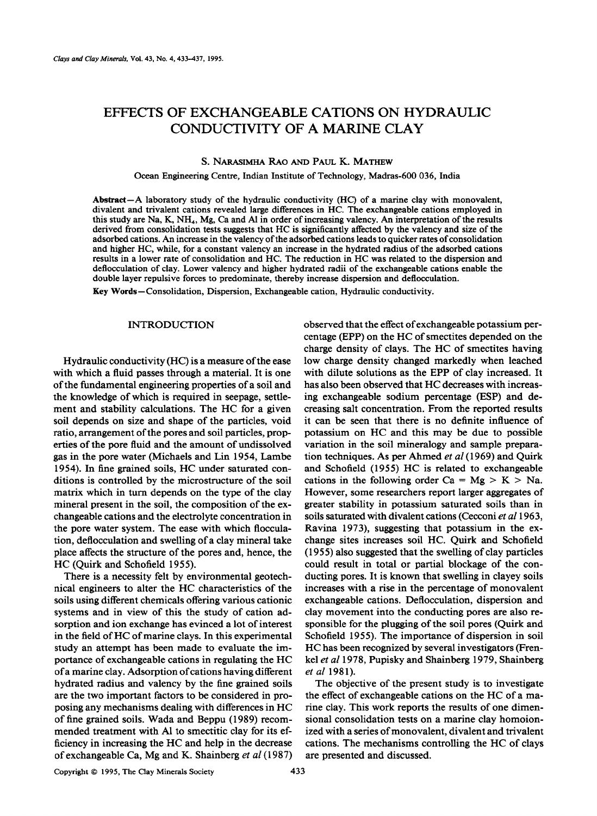# EFFECTS OF EXCHANGEABLE CATIONS ON HYDRAULIC CONDUCTIVITY OF A MARINE CLAY

## S. NARASIMHA RAO AND PAUL K. MATHEW

Ocean Engineering Centre, Indian Institute of Technology, Madras-600 036, India

Abstract-A laboratory study of the hydraulic conductivity (HC) of a marine clay with monovalent, divalent and trivalent cations revealed large differences in HC. The exchangeable cations employed in this study are Na,  $K$ , NH<sub>4</sub>, Mg, Ca and Al in order of increasing valency. An interpretation of the results derived from consolidation tests suggests that HC is significantly affected by the valency and size of the adsorbed cations. An increase in the valency of the adsorbed cations leads to quicker rates of consolidation and higher HC, while, for a constant valency an increase in the hydrated radius of the adsorbed cations results in a lower rate of consolidation and HC. The reduction in HC was related to the dispersion and deflocculation of clay. Lower valency and higher hydrated radii of the exchangeable cations enable the double layer repulsive forces to predominate, thereby increase dispersion and defloccalation.

Key Words--Consolidation, Dispersion, Exchangeable cation, Hydraulic conductivity.

#### INTRODUCTION

Hydraulic conductivity (HC) is a measure of the ease with which a fluid passes through a material. It is one of the fundamental engineering properties of a soil and the knowledge of which is required in seepage, settlement and stability calculations. The HC for a given soil depends on size and shape of the particles, void ratio, arrangement of the pores and soil particles, properties of the pore fluid and the amount of undissolved gas in the pore water (Michaels and Lin 1954, Lambe 1954). In fine grained soils, HC under saturated conditions is controlled by the microstructure of the soil matrix which in turn depends on the type of the clay mineral present in the soil, the composition of the exchangeable cations and the electrolyte concentration in the pore water system. The ease with which flocculation, deflocculation and swelling of a clay mineral take place affects the structure of the pores and, hence, the HC (Quirk and Schofield 1955).

There is a necessity felt by environmental geotechnical engineers to alter the HC characteristics of the soils using different chemicals offering various cationic systems and in view of this the study of cation adsorption and ion exchange has evinced a lot of interest in the field of HC of marine clays. In this experimental study an attempt has been made to evaluate the importance of exchangeable cations in regulating the HC of a marine clay. Adsorption of cations having different hydrated radius and valency by the fine grained soils are the two important factors to be considered in proposing any mechanisms dealing with differences in HC of fine grained soils. Wada and Beppu (1989) recommended treatment with AI to smectitic clay for its efficiency in increasing the HC and help in the decrease of exchangeable Ca, Mg and K. Shainberg *et al* (1987)

observed that the effect of exchangeable potassium percentage (EPP) on the HC of smectites depended on the charge density of clays. The HC of smectites having low charge density changed markedly when leached with dilute solutions as the EPP of clay increased. It has also been observed that HC decreases with increasing exchangeable sodium percentage (ESP) and decreasing salt concentration. From the reported results it can be seen that there is no definite influence of potassium on HC and this may be due to possible variation in the soil mineralogy and sample preparation techniques. As per Ahmed *et al* (1969) and Quirk and Schofield (1955) HC is related to exchangeable cations in the following order Ca =  $Mg > K > Na$ . However, some researchers report larger aggregates of greater stability in potassium saturated soils than in soils saturated with divalent cations (Cecconi et al 1963, Ravina 1973), suggesting that potassium in the exchange sites increases soil HC. Quirk and Schofield (1955) also suggested that the swelling of clay particles could result in total or partial blockage of the conducting pores. It is known that swelling in clayey soils increases with a rise in the percentage of monovalent exchangeable cations. Deflocculation, dispersion and clay movement into the conducting pores are also responsible for the plugging of the soil pores (Quirk and Schofield 1955). The importance of dispersion in soil HC has been recognized by several investigators (Frenkel *et a11978,* Pupisky and Shainberg 1979, Shainberg *et al* 1981).

The objective of the present study is to investigate the effect of exchangeable cations on the HC of a marine clay. This work reports the results of one dimensional consolidation tests on a marine clay homoionized with a series of monovalent, divalent and trivalent cations. The mechanisms controlling the HC of clays are presented and discussed.

Copyright © 1995, The Clay Minerals Society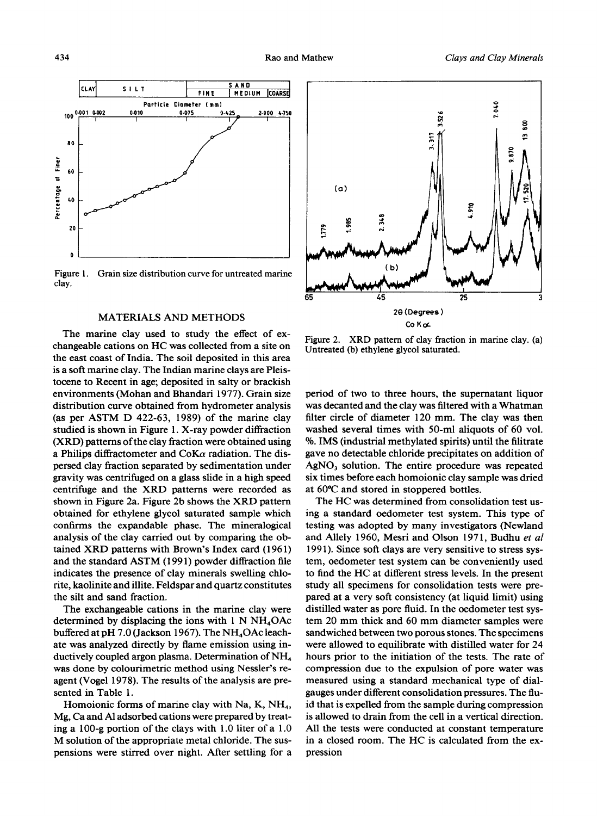

Figure 1. Grain size distribution curve for untreated marine clay.

### MATERIALS AND METHODS

The marine clay used to study the effect of exchangeable cations on HC was collected from a site on the east coast of India. The soil deposited in this area is a soft marine clay. The Indian marine clays are Pleistocene to Recent in age; deposited in salty or brackish environments (Mohan and Bhandari 1977). Grain size distribution curve obtained from hydrometer analysis (as per ASTM D 422-63, 1989) of the marine clay studied is shown in Figure 1. X-ray powder diffraction (XRD) patterns of the clay fraction were obtained using a Philips diffractometer and *CoKa* radiation. The dispersed clay fraction separated by sedimentation under gravity was centrifuged on a glass slide in a high speed centrifuge and the XRD patterns were recorded as shown in Figure 2a. Figure 2b shows the XRD pattern obtained for ethylene glycol saturated sample which confirms the expandable phase. The mineralogical analysis of the clay carried out by comparing the obtained XRD patterns with Brown's Index card (1961) and the standard ASTM (1991) powder diffraction file indicates the presence of clay minerals swelling chlorite, kaolinite and illite. Feldspar and quartz constitutes the silt and sand fraction.

The exchangeable cations in the marine clay were determined by displacing the ions with 1 N NH4OAc buffered at pH 7.0 (Jackson 1967). The  $NH<sub>4</sub>OAc$  leachate was analyzed directly by flame emission using inductively coupled argon plasma. Determination of NH4 was done by colourimetric method using Nessler's reagent (Vogel 1978). The results of the analysis are presented in Table 1.

Homoionic forms of marine clay with Na, K,  $NH<sub>4</sub>$ , Mg, Ca and A1 adsorbed cations were prepared by treating a 100-g portion of the clays with 1.0 liter of a 1.0 M solution of the appropriate metal chloride. The suspensions were stirred over night. After settling for a



Figure 2. XRD pattern of clay fraction in marine clay. (a) Untreated (b) ethylene glycol saturated.

period of two to three hours, the supernatant liquor was decanted and the clay was filtered with a Whatman filter circle of diameter 120 mm. The clay was then washed several times with 50-ml aliquots of 60 vol. %. IMS (industrial methylated spirits) until the filitrate gave no detectable chloride precipitates on addition of  $AgNO<sub>3</sub>$  solution. The entire procedure was repeated six times before each homoionic clay sample was dried at 60°C and stored in stoppered bottles.

The HC was determined from consolidation test using a standard oedometer test system. This type of testing was adopted by many investigators (Newland and Allely 1960, Mesri and Olson 1971, Budhu *et al*  1991). Since soft clays are very sensitive to stress system, oedometer test system can be conveniently used to find the HC at different stress levels. In the present study all specimens for consolidation tests were prepared at a very soft consistency (at liquid limit) using distilled water as pore fluid. In the oedometer test system 20 mm thick and 60 mm diameter samples were sandwiched between two porous stones. The specimens were allowed to equilibrate with distilled water for 24 hours prior to the initiation of the tests. The rate of compression due to the expulsion of pore water was measured using a standard mechanical type of dialgauges under different consolidation pressures. The fluid that is expelled from the sample during compression is allowed to drain from the cell in a vertical direction. All the tests were conducted at constant temperature in a closed room. The HC is calculated from the expression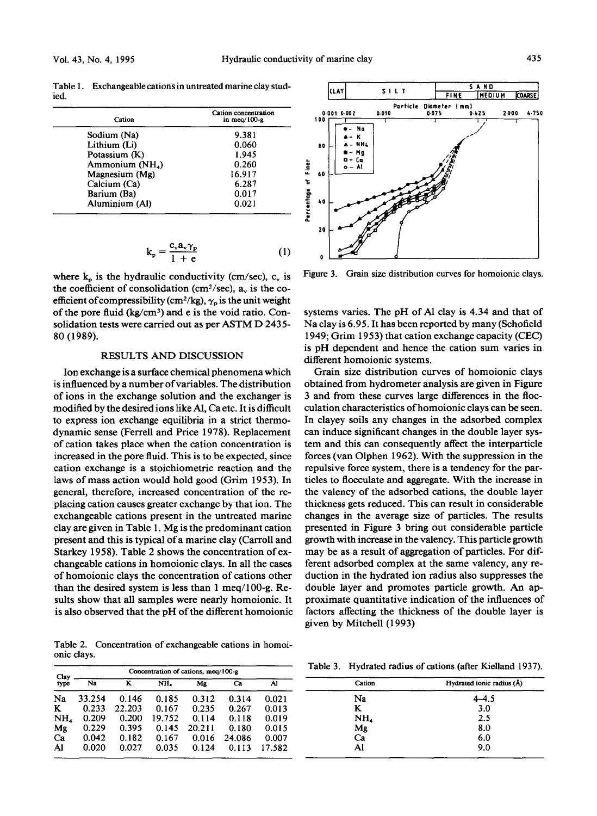Table 1. Exchangeable cations in untreated marine clay studied.

| Cation                      | Cation concentration<br>in mea/ $100 - R$ |  |
|-----------------------------|-------------------------------------------|--|
| Sodium (Na)                 | 9.381                                     |  |
| Lithium (Li)                | 0.060                                     |  |
| Potassium (K)               | 1.945                                     |  |
| Ammonium (NH <sub>4</sub> ) | 0.260                                     |  |
| Magnesium (Mg)              | 16.917                                    |  |
| Calcium (Ca)                | 6.287                                     |  |
| Barium (Ba)                 | 0.017                                     |  |
| Aluminium (Al)              | 0.021                                     |  |

$$
k_{p} = \frac{c_{\nu} a_{\nu} \gamma_{p}}{1 + e} \tag{1}
$$

where  $k_p$  is the hydraulic conductivity (cm/sec),  $c_v$  is the coefficient of consolidation (cm<sup>2</sup>/sec),  $a<sub>v</sub>$  is the coefficient of compressibility (cm<sup>2</sup>/kg),  $\gamma_p$  is the unit weight of the pore fluid (kg/cm<sup>3</sup>) and e is the void ratio. Consolidation tests were carried out as per ASTM D 2435-80 (1989).

### RESULTS AND DISCUSSION

Ion exchange is a surface chemical phenomena which is influenced by a number of variables. The distribution of ions in the exchange solution and the exchanger is modified by the desired ions like A1, Ca etc. It is difficult to express ion exchange equilibria in a strict thermodynamic sense (Ferrell and Price 1978). Replacement of cation takes place when the cation concentration is increased in the pore fluid. This is to be expected, since cation exchange is a stoichiometric reaction and the laws of mass action would hold good (Grim 1953). In general, therefore, increased concentration of the replacing cation causes greater exchange by that ion. The exchangeable cations present in the untreated marine clay are given in Table 1. Mg is the predominant cation present and this is typical of a marine clay (Carroll and Starkey 1958). Table 2 shows the concentration of exchangeable cations in homoionic clays. In all the cases of homoionic clays the concentration of cations other than the desired system is less than 1 meq/100-g. Results show that all samples were nearly homoionic. It is also observed that the pH of the different homoionic

Table 2. Concentration of exchangeable cations in homoionic clays.

| Clay            | Concentration of cations, meg/100-g |        |        |        |        |        |  |
|-----------------|-------------------------------------|--------|--------|--------|--------|--------|--|
| type            | Na                                  | ĸ      | NH.    | Mg     | Ca     | Al     |  |
| Na              | 33.254                              | 0.146  | 0.185  | 0.312  | 0.314  | 0.021  |  |
| K               | 0.233                               | 22.203 | 0.167  | 0.235  | 0.267  | 0.013  |  |
| NH <sub>4</sub> | 0.209                               | 0.200  | 19.752 | 0.114  | 0.118  | 0.019  |  |
| Mg              | 0.229                               | 0.395  | 0.145  | 20.211 | 0.180  | 0.015  |  |
| Ca              | 0.042                               | 0.182  | 0.167  | 0.016  | 24.086 | 0.007  |  |
| Al              | 0.020                               | 0.027  | 0.035  | 0.124  | 0.113  | 17.582 |  |

CLAY SILT SAND **COARSE** Particle Diameter (mm)<br>0.075 0.625 **0.001 0.002 0.010 O.07S 0.42S 2-000**  4.750 **100** T /Ij~"-----E'-- Na  $\bullet$  – К  $\triangle$  – .<br>4 - NH4 **SO**  Ma o ē. **60 ~ 4o**  g. 2O 0

Figure 3. Grain size distribution curves for homoionic clays.

systems varies. The pH of A1 clay is 4.34 and that of Na clay is 6.95. It has been reported by many (Schofield 1949; Grim 1953) that cation exchange capacity (CEC) is pH dependent and hence the cation sum varies in different homoionic systems.

Grain size distribution curves of homoionic clays obtained from hydrometer analysis are given in Figure 3 and from these curves large differences in the floeculation characteristics ofhomoionic clays can be seen. In clayey soils any changes in the adsorbed complex can induce significant changes in the double layer system and this can consequently affect the interparticle forces (van Olphen 1962). With the suppression in the repulsive force system, there is a tendency for the particles to flocculate and aggregate. With the increase in the valency of the adsorbed cations, the double layer thickness gets reduced. This can result in considerable changes in the average size of particles. The results presented in Figure 3 bring out considerable particle growth with increase in the valency. This particle growth may be as a result of aggregation of particles. For different adsorbed complex at the same valency, any reduction in the hydrated ion radius also suppresses the double layer and promotes particle growth. An approximate quantitative indication of the influences of factors affecting the thickness of the double layer is given by Mitchell (1993)

Table 3. Hydrated radius of cations (after Kielland 1937).

| Cation          | Hydrated ionic radius (Å) |
|-----------------|---------------------------|
| Na              | $4 - 4.5$                 |
| K               | 3.0                       |
| NH <sub>4</sub> | 2.5                       |
|                 | 8.0                       |
| Mg<br>Ca        | 6.0                       |
| Al              | 9.0                       |
|                 |                           |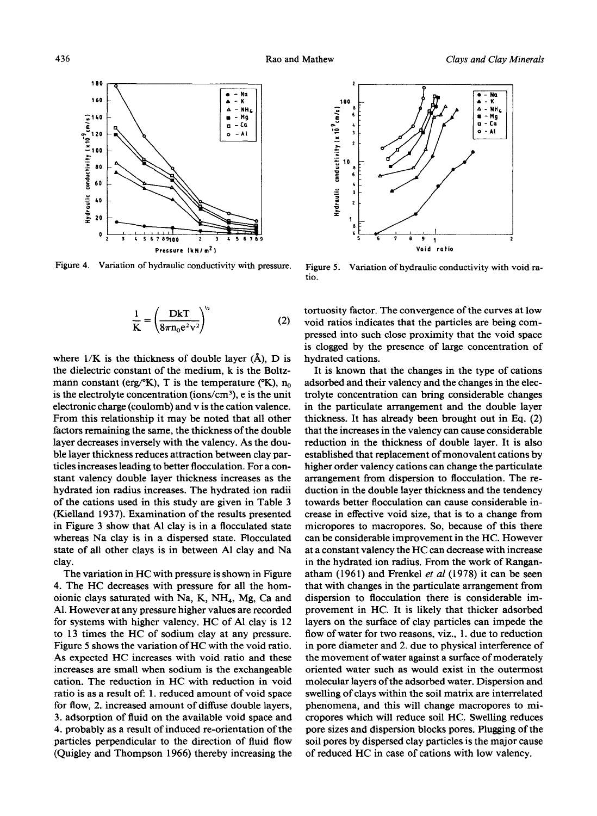

Figure 4. Variation of hydraulic conductivity with pressure.

$$
\frac{1}{K} = \left(\frac{DkT}{8\pi n_0 e^2 v^2}\right)^{n}
$$
 (2)

where  $1/K$  is the thickness of double layer (Å), D is the dielectric constant of the medium, k is the Boltzmann constant (erg/ $(K)$ ), T is the temperature ( $(K)$ ), n<sub>o</sub> is the electrolyte concentration (ions/cm3), e is the unit electronic charge (coulomb) and v is the cation valence. From this relationship it may be noted that all other factors remaining the same, the thickness of the double layer decreases inversely with the valency. As the double layer thickness reduces attraction between clay particles increases leading to better flocculation. For a constant valency double layer thickness increases as the hydrated ion radius increases. The hydrated ion radii of the cations used in this study are given in Table 3 (Kielland 1937). Examination of the results presented in Figure 3 show that A1 clay is in a flocculated state whereas Na clay is in a dispersed state. Flocculated state of all other clays is in between A1 clay and Na clay.

The variation in HC with pressure is shown in Figure 4. The HC decreases with pressure for all the homoionic clays saturated with Na, K,  $NH<sub>4</sub>$ , Mg, Ca and AI. However at any pressure higher values are recorded for systems with higher valency. HC of A1 clay is 12 to 13 times the HC of sodium clay at any pressure. Figure 5 shows the variation of HC with the void ratio. As expected HC increases with void ratio and these increases are small when sodium is the exchangeable cation. The reduction in HC with reduction in void ratio is as a result of: 1. reduced amount of void space for flow, 2. increased amount of diffuse double layers, 3. adsorption of fluid on the available void space and 4. probably as a result of induced re-orientation of the particles perpendicular to the direction of fluid flow (Quigley and Thompson 1966) thereby increasing the



Figure 5. Variation of hydraulic conductivity with void ratio.

tortuosity factor. The convergence of the curves at low void ratios indicates that the particles are being compressed into such close proximity that the void space is clogged by the presence of large concentration of hydrated cations.

It is known that the changes in the type of cations adsorbed and their valency and the changes in the electrolyte concentration can bring considerable changes in the particulate arrangement and the double layer thickness. It has already been brought out in Eq. (2) that the increases in the valency can cause considerable reduction in the thickness of double layer. It is also established that replacement of monovalent cations by higher order valency cations can change the particulate arrangement from dispersion to flocculation. The reduction in the double layer thickness and the tendency towards better flocculation can cause considerable increase in effective void size, that is to a change from micropores to macropores. So, because of this there can be considerable improvement in the HC. However at a constant valency the HC can decrease with increase in the hydrated ion radius. From the work of Ranganatham (1961) and Frenkel *et al* (1978) it can be seen that with changes in the particulate arrangement from dispersion to flocculation there is considerable improvement in HC. It is likely that thicker adsorbed layers on the surface of clay particles can impede the flow of water for two reasons, viz., 1. due to reduction in pore diameter and 2. due to physical interference of the movement of water against a surface of moderately oriented water such as would exist in the outermost molecular layers of the adsorbed water. Dispersion and swelling of clays within the soil matrix are interrelated phenomena, and this will change macropores to micropores which will reduce soil HC. Swelling reduces pore sizes and dispersion blocks pores. Plugging of the soil pores by dispersed clay particles is the major cause of reduced HC in case of cations with low valency.